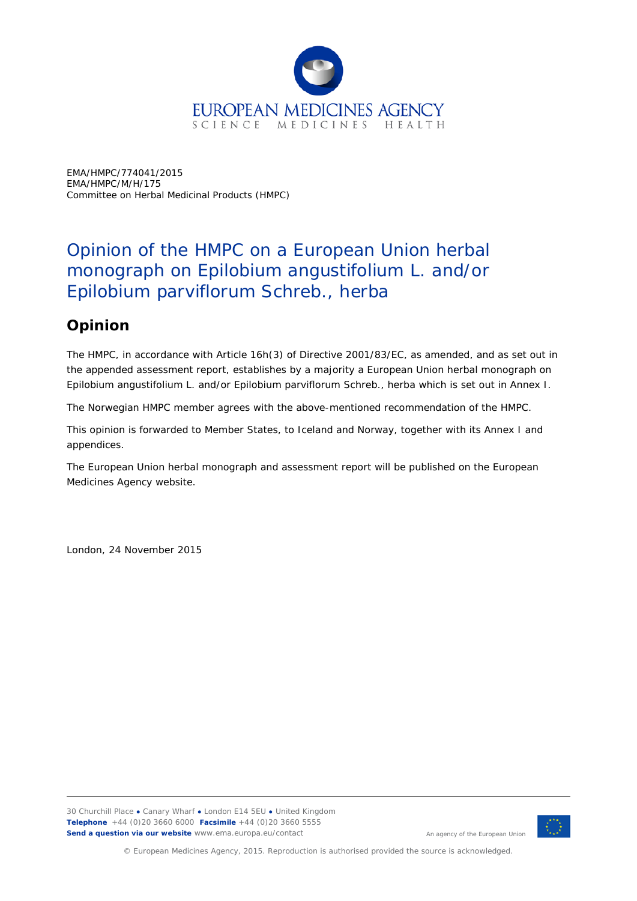

EMA/HMPC/774041/2015 EMA/HMPC/M/H/175 Committee on Herbal Medicinal Products (HMPC)

## Opinion of the HMPC on a European Union herbal monograph on *Epilobium angustifolium* L. and/or *Epilobium parviflorum* Schreb., herba

## **Opinion**

The HMPC, in accordance with Article 16h(3) of Directive 2001/83/EC, as amended, and as set out in the appended assessment report, establishes by a majority a European Union herbal monograph on *Epilobium angustifolium* L. and/or *Epilobium parviflorum* Schreb., herba which is set out in Annex I.

The Norwegian HMPC member agrees with the above-mentioned recommendation of the HMPC.

This opinion is forwarded to Member States, to Iceland and Norway, together with its Annex I and appendices.

The European Union herbal monograph and assessment report will be published on the European Medicines Agency website.

London, 24 November 2015



An agency of the European Union

© European Medicines Agency, 2015. Reproduction is authorised provided the source is acknowledged.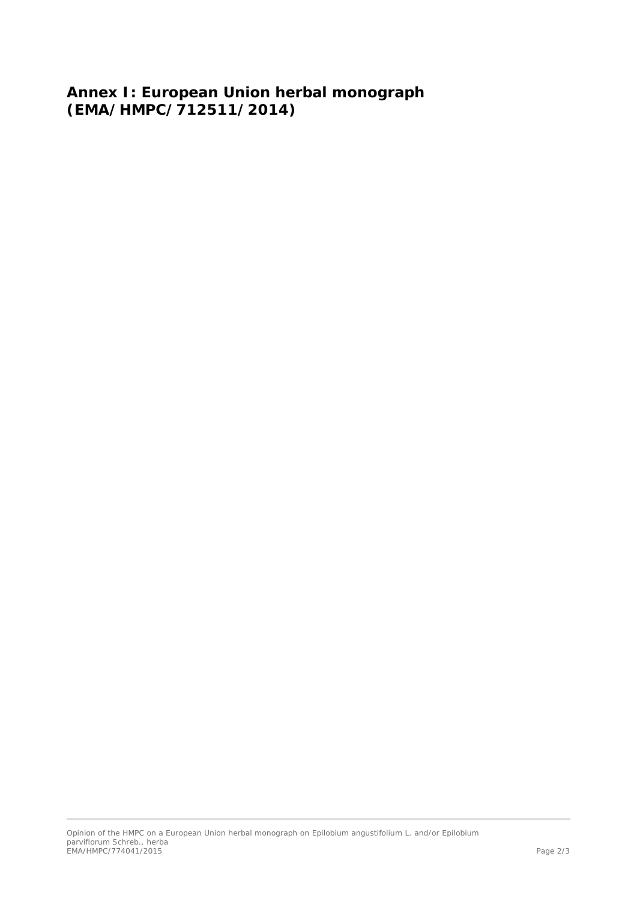**Annex I: European Union herbal monograph (EMA/HMPC/712511/2014)**